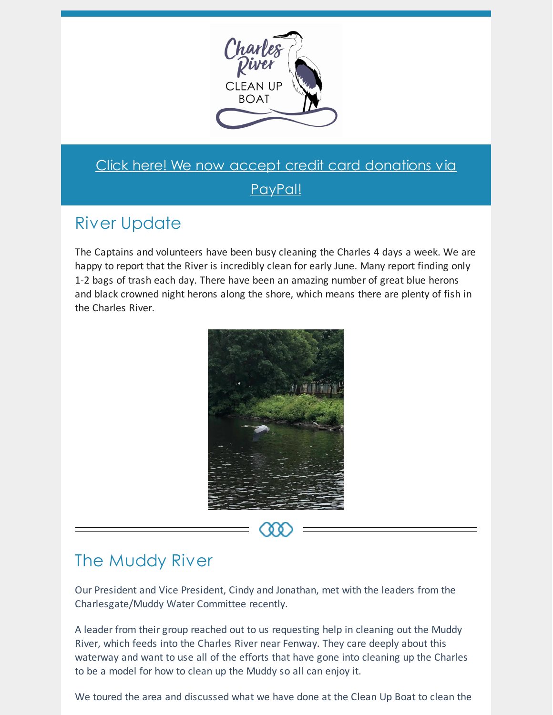

### Click here! We now accept credit card [donations](https://www.cleanupboat.org/donation) via

PayPal!

# River Update

The Captains and volunteers have been busy cleaning the Charles 4 days a week. We are happy to report that the River is incredibly clean for early June. Many report finding only 1-2 bags of trash each day. There have been an amazing number of great blue herons and black crowned night herons along the shore, which means there are plenty of fish in the Charles River.



### The Muddy River

Our President and Vice President, Cindy and Jonathan, met with the leaders from the Charlesgate/Muddy Water Committee recently.

A leader from their group reached out to us requesting help in cleaning out the Muddy River, which feeds into the Charles River near Fenway. They care deeply about this waterway and want to use all of the efforts that have gone into cleaning up the Charles to be a model for how to clean up the Muddy so all can enjoy it.

We toured the area and discussed what we have done at the Clean Up Boat to clean the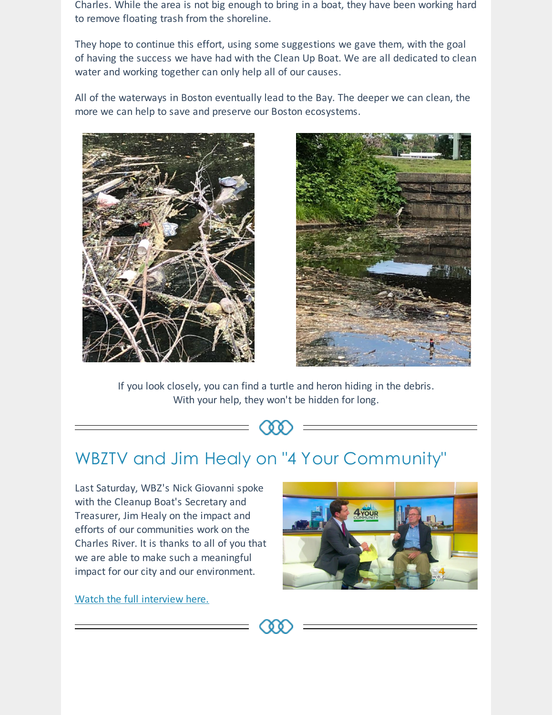Charles. While the area is not big enough to bring in a boat, they have been working hard to remove floating trash from the shoreline.

They hope to continue this effort, using some suggestions we gave them, with the goal of having the success we have had with the Clean Up Boat. We are all dedicated to clean water and working together can only help all of our causes.

All of the waterways in Boston eventually lead to the Bay. The deeper we can clean, the more we can help to save and preserve our Boston ecosystems.





If you look closely, you can find a turtle and heron hiding in the debris. With your help, they won't be hidden for long.

# WBZTV and Jim Healy on "4 Your Community"

Last Saturday, WBZ's Nick Giovanni spoke with the Cleanup Boat's Secretary and Treasurer, Jim Healy on the impact and efforts of our communities work on the Charles River. It is thanks to all of you that we are able to make such a meaningful impact for our city and our environment.

Watch the full interview here.